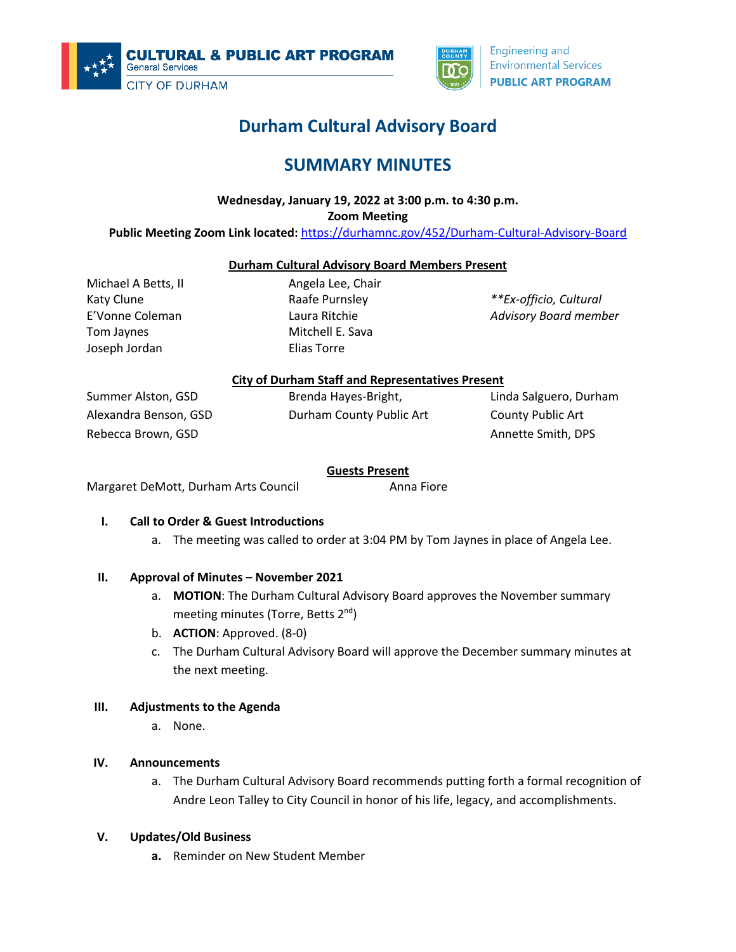



# **Durham Cultural Advisory Board**

# **SUMMARY MINUTES**

# **Wednesday, January 19, 2022 at 3:00 p.m. to 4:30 p.m.**

**Zoom Meeting**

### **Public Meeting Zoom Link located:** https://durhamnc.gov/452/Durham-Cultural-Advisory-Board

#### **Durham Cultural Advisory Board Members Present**

Michael A Betts, II Katy Clune E'Vonne Coleman Tom Jaynes Joseph Jordan

Angela Lee, Chair Raafe Purnsley Laura Ritchie Mitchell E. Sava Elias Torre

*\*\*Ex-officio, Cultural Advisory Board member*

#### **City of Durham Staff and Representatives Present**

Summer Alston, GSD Alexandra Benson, GSD Rebecca Brown, GSD

Brenda Hayes-Bright, Durham County Public Art Linda Salguero, Durham County Public Art Annette Smith, DPS

#### **Guests Present**

Margaret DeMott, Durham Arts Council **Anna Fiore** Anna Fiore

#### **I. Call to Order & Guest Introductions**

a. The meeting was called to order at 3:04 PM by Tom Jaynes in place of Angela Lee.

#### **II. Approval of Minutes – November 2021**

- a. **MOTION**: The Durham Cultural Advisory Board approves the November summary meeting minutes (Torre, Betts 2<sup>nd</sup>)
- b. **ACTION**: Approved. (8-0)
- c. The Durham Cultural Advisory Board will approve the December summary minutes at the next meeting.

## **III. Adjustments to the Agenda**

a. None.

#### **IV. Announcements**

a. The Durham Cultural Advisory Board recommends putting forth a formal recognition of Andre Leon Talley to City Council in honor of his life, legacy, and accomplishments.

#### **V. Updates/Old Business**

**a.** Reminder on New Student Member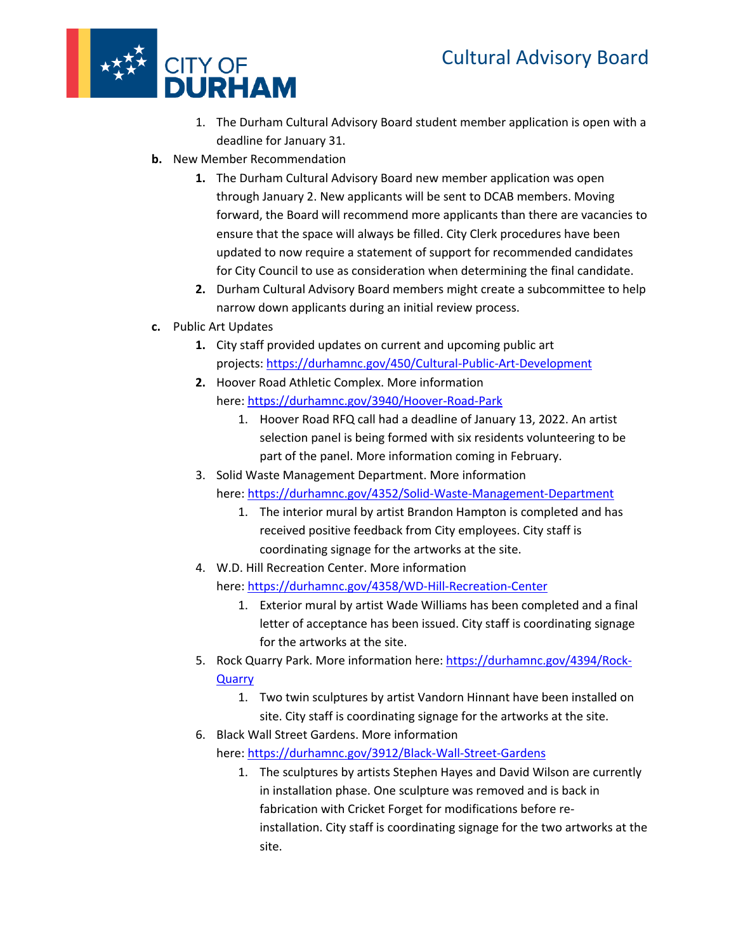

- 1. The Durham Cultural Advisory Board student member application is open with a deadline for January 31.
- **b.** New Member Recommendation
	- **1.** The Durham Cultural Advisory Board new member application was open through January 2. New applicants will be sent to DCAB members. Moving forward, the Board will recommend more applicants than there are vacancies to ensure that the space will always be filled. City Clerk procedures have been updated to now require a statement of support for recommended candidates for City Council to use as consideration when determining the final candidate.
	- **2.** Durham Cultural Advisory Board members might create a subcommittee to help narrow down applicants during an initial review process.
- **c.** Public Art Updates
	- **1.** City staff provided updates on current and upcoming public art projects: https://durhamnc.gov/450/Cultural-Public-Art-Development
	- **2.** Hoover Road Athletic Complex. More information here: https://durhamnc.gov/3940/Hoover-Road-Park
		- 1. Hoover Road RFQ call had a deadline of January 13, 2022. An artist selection panel is being formed with six residents volunteering to be part of the panel. More information coming in February.
	- 3. Solid Waste Management Department. More information here: https://durhamnc.gov/4352/Solid-Waste-Management-Department
		- 1. The interior mural by artist Brandon Hampton is completed and has received positive feedback from City employees. City staff is
			- coordinating signage for the artworks at the site.
	- 4. W.D. Hill Recreation Center. More information here: https://durhamnc.gov/4358/WD-Hill-Recreation-Center
		- 1. Exterior mural by artist Wade Williams has been completed and a final letter of acceptance has been issued. City staff is coordinating signage for the artworks at the site.
	- 5. Rock Quarry Park. More information here: https://durhamnc.gov/4394/Rock-**Quarry** 
		- 1. Two twin sculptures by artist Vandorn Hinnant have been installed on site. City staff is coordinating signage for the artworks at the site.
	- 6. Black Wall Street Gardens. More information here: https://durhamnc.gov/3912/Black-Wall-Street-Gardens
		- 1. The sculptures by artists Stephen Hayes and David Wilson are currently in installation phase. One sculpture was removed and is back in fabrication with Cricket Forget for modifications before reinstallation. City staff is coordinating signage for the two artworks at the site.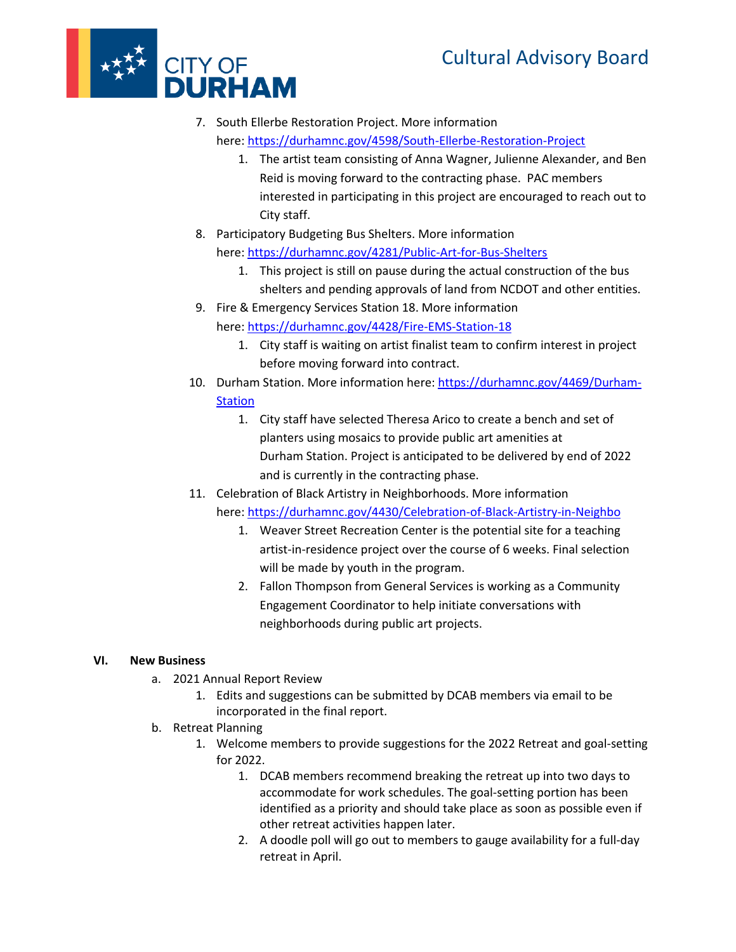# Cultural Advisory Board



- 7. South Ellerbe Restoration Project. More information here: https://durhamnc.gov/4598/South-Ellerbe-Restoration-Project
	- 1. The artist team consisting of Anna Wagner, Julienne Alexander, and Ben Reid is moving forward to the contracting phase. PAC members interested in participating in this project are encouraged to reach out to City staff.
- 8. Participatory Budgeting Bus Shelters. More information here: https://durhamnc.gov/4281/Public-Art-for-Bus-Shelters
	- 1. This project is still on pause during the actual construction of the bus shelters and pending approvals of land from NCDOT and other entities.
- 9. Fire & Emergency Services Station 18. More information here: https://durhamnc.gov/4428/Fire-EMS-Station-18
	- 1. City staff is waiting on artist finalist team to confirm interest in project before moving forward into contract.
- 10. Durham Station. More information here: https://durhamnc.gov/4469/Durham-**Station** 
	- 1. City staff have selected Theresa Arico to create a bench and set of planters using mosaics to provide public art amenities at Durham Station. Project is anticipated to be delivered by end of 2022 and is currently in the contracting phase.
- 11. Celebration of Black Artistry in Neighborhoods. More information
	- here: https://durhamnc.gov/4430/Celebration-of-Black-Artistry-in-Neighbo
		- 1. Weaver Street Recreation Center is the potential site for a teaching artist-in-residence project over the course of 6 weeks. Final selection will be made by youth in the program.
		- 2. Fallon Thompson from General Services is working as a Community Engagement Coordinator to help initiate conversations with neighborhoods during public art projects.

## **VI. New Business**

- a. 2021 Annual Report Review
	- 1. Edits and suggestions can be submitted by DCAB members via email to be incorporated in the final report.
- b. Retreat Planning
	- 1. Welcome members to provide suggestions for the 2022 Retreat and goal-setting for 2022.
		- 1. DCAB members recommend breaking the retreat up into two days to accommodate for work schedules. The goal-setting portion has been identified as a priority and should take place as soon as possible even if other retreat activities happen later.
		- 2. A doodle poll will go out to members to gauge availability for a full-day retreat in April.